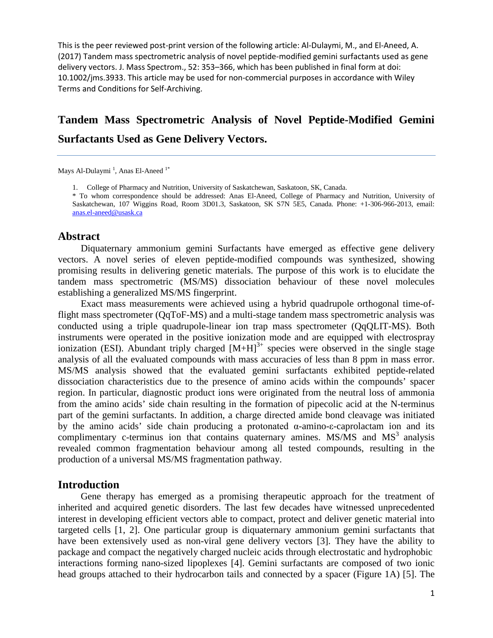This is the peer reviewed post-print version of the following article: Al-Dulaymi, M., and El-Aneed, A. (2017) Tandem mass spectrometric analysis of novel peptide-modified gemini surfactants used as gene delivery vectors. J. Mass Spectrom., 52: 353–366, which has been published in final form at doi: 10.1002/jms.3933. This article may be used for non-commercial purposes in accordance with Wiley Terms and Conditions for Self-Archiving.

# **Tandem Mass Spectrometric Analysis of Novel Peptide-Modified Gemini Surfactants Used as Gene Delivery Vectors.**

Mays Al-Dulaymi<sup>1</sup>, Anas El-Aneed<sup>1\*</sup>

1. College of Pharmacy and Nutrition, University of Saskatchewan, Saskatoon, SK, Canada.

\* To whom correspondence should be addressed: Anas El-Aneed, College of Pharmacy and Nutrition, University of Saskatchewan, 107 Wiggins Road, Room 3D01.3, Saskatoon, SK S7N 5E5, Canada. Phone: +1-306-966-2013, email: [anas.el-aneed@usask.ca](mailto:anas.el-aneed@usask.ca) 

## **Abstract**

Diquaternary ammonium gemini Surfactants have emerged as effective gene delivery vectors. A novel series of eleven peptide-modified compounds was synthesized, showing promising results in delivering genetic materials. The purpose of this work is to elucidate the tandem mass spectrometric (MS/MS) dissociation behaviour of these novel molecules establishing a generalized MS/MS fingerprint.

Exact mass measurements were achieved using a hybrid quadrupole orthogonal time-offlight mass spectrometer (QqToF-MS) and a multi-stage tandem mass spectrometric analysis was conducted using a triple quadrupole-linear ion trap mass spectrometer (QqQLIT-MS). Both instruments were operated in the positive ionization mode and are equipped with electrospray ionization (ESI). Abundant triply charged  $[M+H]^{3+}$  species were observed in the single stage analysis of all the evaluated compounds with mass accuracies of less than 8 ppm in mass error. MS/MS analysis showed that the evaluated gemini surfactants exhibited peptide-related dissociation characteristics due to the presence of amino acids within the compounds' spacer region. In particular, diagnostic product ions were originated from the neutral loss of ammonia from the amino acids' side chain resulting in the formation of pipecolic acid at the N-terminus part of the gemini surfactants. In addition, a charge directed amide bond cleavage was initiated by the amino acids' side chain producing a protonated α-amino-ε-caprolactam ion and its complimentary c-terminus ion that contains quaternary amines.  $MS/MS$  and  $MS<sup>3</sup>$  analysis revealed common fragmentation behaviour among all tested compounds, resulting in the production of a universal MS/MS fragmentation pathway.

## **Introduction**

Gene therapy has emerged as a promising therapeutic approach for the treatment of inherited and acquired genetic disorders. The last few decades have witnessed unprecedented interest in developing efficient vectors able to compact, protect and deliver genetic material into targeted cells [\[1,](#page-22-0) [2\]](#page-22-1). One particular group is diquaternary ammonium gemini surfactants that have been extensively used as non-viral gene delivery vectors [\[3\]](#page-22-2). They have the ability to package and compact the negatively charged nucleic acids through electrostatic and hydrophobic interactions forming nano-sized lipoplexes [\[4\]](#page-22-3). Gemini surfactants are composed of two ionic head groups attached to their hydrocarbon tails and connected by a spacer (Figure 1A) [\[5\]](#page-22-4). The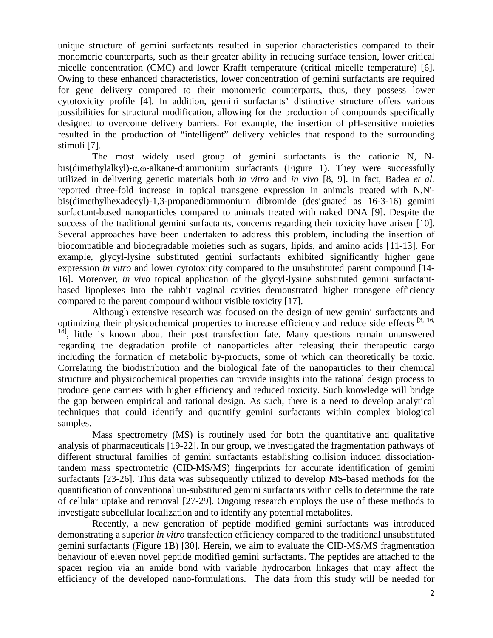unique structure of gemini surfactants resulted in superior characteristics compared to their monomeric counterparts, such as their greater ability in reducing surface tension, lower critical micelle concentration (CMC) and lower Krafft temperature (critical micelle temperature) [\[6\]](#page-22-5). Owing to these enhanced characteristics, lower concentration of gemini surfactants are required for gene delivery compared to their monomeric counterparts, thus, they possess lower cytotoxicity profile [\[4\]](#page-22-3). In addition, gemini surfactants' distinctive structure offers various possibilities for structural modification, allowing for the production of compounds specifically designed to overcome delivery barriers. For example, the insertion of pH-sensitive moieties resulted in the production of "intelligent" delivery vehicles that respond to the surrounding stimuli [\[7\]](#page-22-6).

The most widely used group of gemini surfactants is the cationic N, Nbis(dimethylalkyl)- $\alpha$ , $\omega$ -alkane-diammonium surfactants (Figure 1). They were successfully utilized in delivering genetic materials both *in vitro* and *in vivo* [\[8,](#page-22-7) [9\]](#page-22-8). In fact, Badea *et al.* reported three-fold increase in topical transgene expression in animals treated with N,N' bis(dimethylhexadecyl)-1,3-propanediammonium dibromide (designated as 16-3-16) gemini surfactant-based nanoparticles compared to animals treated with naked DNA [\[9\]](#page-22-8). Despite the success of the traditional gemini surfactants, concerns regarding their toxicity have arisen [\[10\]](#page-22-9). Several approaches have been undertaken to address this problem, including the insertion of biocompatible and biodegradable moieties such as sugars, lipids, and amino acids [\[11-13\]](#page-22-10). For example, glycyl-lysine substituted gemini surfactants exhibited significantly higher gene expression *in vitro* and lower cytotoxicity compared to the unsubstituted parent compound [\[14-](#page-22-11) [16\]](#page-22-11). Moreover, *in vivo* topical application of the glycyl-lysine substituted gemini surfactantbased lipoplexes into the rabbit vaginal cavities demonstrated higher transgene efficiency compared to the parent compound without visible toxicity [\[17\]](#page-23-0).

Although extensive research was focused on the design of new gemini surfactants and optimizing their physicochemical properties to increase efficiency and reduce side effects  $[3, 16,$  $[3, 16,$ <sup>[18\]](#page-23-1)</sup>, little is known about their post transfection fate. Many questions remain unanswered regarding the degradation profile of nanoparticles after releasing their therapeutic cargo including the formation of metabolic by-products, some of which can theoretically be toxic. Correlating the biodistribution and the biological fate of the nanoparticles to their chemical structure and physicochemical properties can provide insights into the rational design process to produce gene carriers with higher efficiency and reduced toxicity. Such knowledge will bridge the gap between empirical and rational design. As such, there is a need to develop analytical techniques that could identify and quantify gemini surfactants within complex biological samples.

Mass spectrometry (MS) is routinely used for both the quantitative and qualitative analysis of pharmaceuticals [\[19-22\]](#page-23-2). In our group, we investigated the fragmentation pathways of different structural families of gemini surfactants establishing collision induced dissociationtandem mass spectrometric (CID-MS/MS) fingerprints for accurate identification of gemini surfactants [\[23-26\]](#page-23-3). This data was subsequently utilized to develop MS-based methods for the quantification of conventional un-substituted gemini surfactants within cells to determine the rate of cellular uptake and removal [\[27-29\]](#page-23-4). Ongoing research employs the use of these methods to investigate subcellular localization and to identify any potential metabolites.

Recently, a new generation of peptide modified gemini surfactants was introduced demonstrating a superior *in vitro* transfection efficiency compared to the traditional unsubstituted gemini surfactants (Figure 1B) [\[30\]](#page-24-0). Herein, we aim to evaluate the CID-MS/MS fragmentation behaviour of eleven novel peptide modified gemini surfactants. The peptides are attached to the spacer region via an amide bond with variable hydrocarbon linkages that may affect the efficiency of the developed nano-formulations. The data from this study will be needed for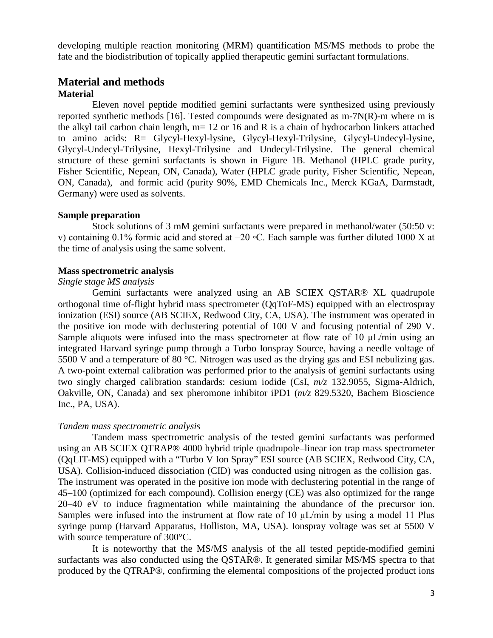developing multiple reaction monitoring (MRM) quantification MS/MS methods to probe the fate and the biodistribution of topically applied therapeutic gemini surfactant formulations.

## **Material and methods**

#### **Material**

Eleven novel peptide modified gemini surfactants were synthesized using previously reported synthetic methods [\[16\]](#page-22-12). Tested compounds were designated as m-7N(R)-m where m is the alkyl tail carbon chain length,  $m= 12$  or 16 and R is a chain of hydrocarbon linkers attached to amino acids: R= Glycyl-Hexyl-lysine, Glycyl-Hexyl-Trilysine, Glycyl-Undecyl-lysine, Glycyl-Undecyl-Trilysine, Hexyl-Trilysine and Undecyl-Trilysine. The general chemical structure of these gemini surfactants is shown in Figure 1B. Methanol (HPLC grade purity, Fisher Scientific, Nepean, ON, Canada), Water (HPLC grade purity, Fisher Scientific, Nepean, ON, Canada), and formic acid (purity 90%, EMD Chemicals Inc., Merck KGaA, Darmstadt, Germany) were used as solvents.

#### **Sample preparation**

Stock solutions of 3 mM gemini surfactants were prepared in methanol/water (50:50 v: v) containing 0.1% formic acid and stored at −20 ◦C. Each sample was further diluted 1000 X at the time of analysis using the same solvent.

#### **Mass spectrometric analysis**

#### *Single stage MS analysis*

Gemini surfactants were analyzed using an AB SCIEX QSTAR® XL quadrupole orthogonal time of-flight hybrid mass spectrometer (QqToF-MS) equipped with an electrospray ionization (ESI) source (AB SCIEX, Redwood City, CA, USA). The instrument was operated in the positive ion mode with declustering potential of 100 V and focusing potential of 290 V. Sample aliquots were infused into the mass spectrometer at flow rate of 10 μL/min using an integrated Harvard syringe pump through a Turbo Ionspray Source, having a needle voltage of 5500 V and a temperature of 80 °C. Nitrogen was used as the drying gas and ESI nebulizing gas. A two-point external calibration was performed prior to the analysis of gemini surfactants using two singly charged calibration standards: cesium iodide (CsI, *m/z* 132.9055, Sigma-Aldrich, Oakville, ON, Canada) and sex pheromone inhibitor iPD1 (*m/z* 829.5320, Bachem Bioscience Inc., PA, USA).

### *Tandem mass spectrometric analysis*

Tandem mass spectrometric analysis of the tested gemini surfactants was performed using an AB SCIEX QTRAP® 4000 hybrid triple quadrupole–linear ion trap mass spectrometer (QqLIT-MS) equipped with a "Turbo V Ion Spray" ESI source (AB SCIEX, Redwood City, CA, USA). Collision-induced dissociation (CID) was conducted using nitrogen as the collision gas. The instrument was operated in the positive ion mode with declustering potential in the range of 45–100 (optimized for each compound). Collision energy (CE) was also optimized for the range 20–40 eV to induce fragmentation while maintaining the abundance of the precursor ion. Samples were infused into the instrument at flow rate of 10 μL/min by using a model 11 Plus syringe pump (Harvard Apparatus, Holliston, MA, USA). Ionspray voltage was set at 5500 V with source temperature of 300°C.

It is noteworthy that the MS/MS analysis of the all tested peptide-modified gemini surfactants was also conducted using the QSTAR®. It generated similar MS/MS spectra to that produced by the QTRAP®, confirming the elemental compositions of the projected product ions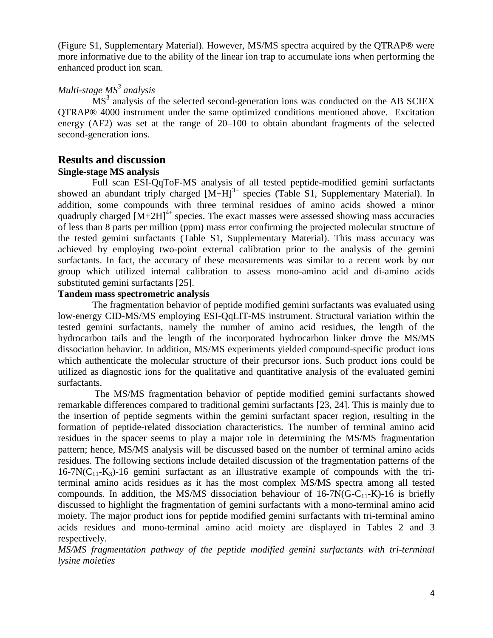(Figure S1, Supplementary Material). However, MS/MS spectra acquired by the QTRAP® were more informative due to the ability of the linear ion trap to accumulate ions when performing the enhanced product ion scan.

## *Multi-stage MS3 analysis*

 $MS<sup>3</sup>$  analysis of the selected second-generation ions was conducted on the AB SCIEX QTRAP® 4000 instrument under the same optimized conditions mentioned above. Excitation energy (AF2) was set at the range of 20–100 to obtain abundant fragments of the selected second-generation ions.

# **Results and discussion**

## **Single-stage MS analysis**

Full scan ESI-QqToF-MS analysis of all tested peptide-modified gemini surfactants showed an abundant triply charged  $[M+H]^{3+}$  species (Table S1, Supplementary Material). In addition, some compounds with three terminal residues of amino acids showed a minor quadruply charged  $[M+2H]^{4+}$  species. The exact masses were assessed showing mass accuracies of less than 8 parts per million (ppm) mass error confirming the projected molecular structure of the tested gemini surfactants (Table S1, Supplementary Material). This mass accuracy was achieved by employing two-point external calibration prior to the analysis of the gemini surfactants. In fact, the accuracy of these measurements was similar to a recent work by our group which utilized internal calibration to assess mono-amino acid and di-amino acids substituted gemini surfactants [\[25\]](#page-23-5).

## **Tandem mass spectrometric analysis**

The fragmentation behavior of peptide modified gemini surfactants was evaluated using low-energy CID-MS/MS employing ESI-QqLIT-MS instrument. Structural variation within the tested gemini surfactants, namely the number of amino acid residues, the length of the hydrocarbon tails and the length of the incorporated hydrocarbon linker drove the MS/MS dissociation behavior. In addition, MS/MS experiments yielded compound-specific product ions which authenticate the molecular structure of their precursor ions. Such product ions could be utilized as diagnostic ions for the qualitative and quantitative analysis of the evaluated gemini surfactants.

The MS/MS fragmentation behavior of peptide modified gemini surfactants showed remarkable differences compared to traditional gemini surfactants [\[23,](#page-23-3) [24\]](#page-23-6). This is mainly due to the insertion of peptide segments within the gemini surfactant spacer region, resulting in the formation of peptide-related dissociation characteristics. The number of terminal amino acid residues in the spacer seems to play a major role in determining the MS/MS fragmentation pattern; hence, MS/MS analysis will be discussed based on the number of terminal amino acids residues. The following sections include detailed discussion of the fragmentation patterns of the  $16-7N(C_{11}-K_3)-16$  gemini surfactant as an illustrative example of compounds with the triterminal amino acids residues as it has the most complex MS/MS spectra among all tested compounds. In addition, the MS/MS dissociation behaviour of  $16\text{-}7N(G-C_{11}-K)-16$  is briefly discussed to highlight the fragmentation of gemini surfactants with a mono-terminal amino acid moiety. The major product ions for peptide modified gemini surfactants with tri-terminal amino acids residues and mono-terminal amino acid moiety are displayed in Tables 2 and 3 respectively.

*MS/MS fragmentation pathway of the peptide modified gemini surfactants with tri-terminal lysine moieties*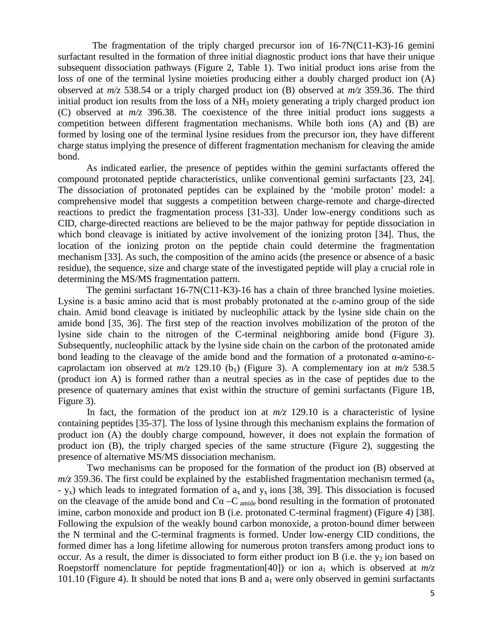The fragmentation of the triply charged precursor ion of 16-7N(C11-K3)-16 gemini surfactant resulted in the formation of three initial diagnostic product ions that have their unique subsequent dissociation pathways (Figure 2, Table 1). Two initial product ions arise from the loss of one of the terminal lysine moieties producing either a doubly charged product ion (A) observed at *m/z* 538.54 or a triply charged product ion (B) observed at *m/z* 359.36. The third initial product ion results from the loss of a  $NH<sub>3</sub>$  moiety generating a triply charged product ion (C) observed at *m/z* 396.38. The coexistence of the three initial product ions suggests a competition between different fragmentation mechanisms. While both ions (A) and (B) are formed by losing one of the terminal lysine residues from the precursor ion, they have different charge status implying the presence of different fragmentation mechanism for cleaving the amide bond.

As indicated earlier, the presence of peptides within the gemini surfactants offered the compound protonated peptide characteristics, unlike conventional gemini surfactants [\[23,](#page-23-3) [24\]](#page-23-6). The dissociation of protonated peptides can be explained by the 'mobile proton' model: a comprehensive model that suggests a competition between charge-remote and charge-directed reactions to predict the fragmentation process [\[31-33\]](#page-24-1). Under low-energy conditions such as CID, charge-directed reactions are believed to be the major pathway for peptide dissociation in which bond cleavage is initiated by active involvement of the ionizing proton [\[34\]](#page-24-2). Thus, the location of the ionizing proton on the peptide chain could determine the fragmentation mechanism [\[33\]](#page-24-3). As such, the composition of the amino acids (the presence or absence of a basic residue), the sequence, size and charge state of the investigated peptide will play a crucial role in determining the MS/MS fragmentation pattern.

The gemini surfactant 16-7N(C11-K3)-16 has a chain of three branched lysine moieties. Lysine is a basic amino acid that is most probably protonated at the ε-amino group of the side chain. Amid bond cleavage is initiated by nucleophilic attack by the lysine side chain on the amide bond [\[35,](#page-24-4) [36\]](#page-24-5). The first step of the reaction involves mobilization of the proton of the lysine side chain to the nitrogen of the C-terminal neighboring amide bond (Figure 3). Subsequently, nucleophilic attack by the lysine side chain on the carbon of the protonated amide bond leading to the cleavage of the amide bond and the formation of a protonated α-amino-εcaprolactam ion observed at  $m/z$  129.10 (b<sub>1</sub>) (Figure 3). A complementary ion at  $m/z$  538.5 (product ion A) is formed rather than a neutral species as in the case of peptides due to the presence of quaternary amines that exist within the structure of gemini surfactants (Figure 1B, Figure 3).

In fact, the formation of the product ion at  $m/z$  129.10 is a characteristic of lysine containing peptides [\[35-37\]](#page-24-4). The loss of lysine through this mechanism explains the formation of product ion (A) the doubly charge compound, however, it does not explain the formation of product ion (B), the triply charged species of the same structure (Figure 2), suggesting the presence of alternative MS/MS dissociation mechanism.

Two mechanisms can be proposed for the formation of the product ion (B) observed at  $m/z$  359.36. The first could be explained by the established fragmentation mechanism termed ( $a<sub>x</sub>$ )  $-$  y<sub>x</sub>) which leads to integrated formation of  $a_x$  and  $y_x$  ions [\[38,](#page-24-6) [39\]](#page-24-7). This dissociation is focused on the cleavage of the amide bond and  $Ca - C$  amide bond resulting in the formation of protonated imine, carbon monoxide and product ion B (i.e. protonated C-terminal fragment) (Figure 4) [\[38\]](#page-24-6). Following the expulsion of the weakly bound carbon monoxide, a proton-bound dimer between the N terminal and the C-terminal fragments is formed. Under low-energy CID conditions, the formed dimer has a long lifetime allowing for numerous proton transfers among product ions to occur. As a result, the dimer is dissociated to form either product ion B (i.e. the  $y_2$  ion based on Roepstorff nomenclature for peptide fragmentation<sup>[\[40\]](#page-24-8)</sup>) or ion  $a_1$  which is observed at  $m/z$ 101.10 (Figure 4). It should be noted that ions B and  $a_1$  were only observed in gemini surfactants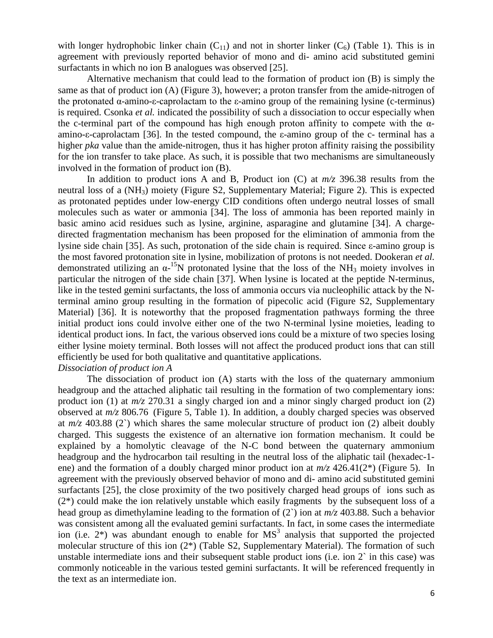with longer hydrophobic linker chain  $(C_{11})$  and not in shorter linker  $(C_6)$  (Table 1). This is in agreement with previously reported behavior of mono and di- amino acid substituted gemini surfactants in which no ion B analogues was observed [\[25\]](#page-23-5).

Alternative mechanism that could lead to the formation of product ion (B) is simply the same as that of product ion (A) (Figure 3), however; a proton transfer from the amide-nitrogen of the protonated α-amino-ε-caprolactam to the ε-amino group of the remaining lysine (c-terminus) is required. Csonka *et al.* indicated the possibility of such a dissociation to occur especially when the c-terminal part of the compound has high enough proton affinity to compete with the  $\alpha$ amino-ε-caprolactam [\[36\]](#page-24-5). In the tested compound, the ε-amino group of the c- terminal has a higher *pka* value than the amide-nitrogen, thus it has higher proton affinity raising the possibility for the ion transfer to take place. As such, it is possible that two mechanisms are simultaneously involved in the formation of product ion (B).

In addition to product ions A and B, Product ion (C) at *m/z* 396.38 results from the neutral loss of a (NH3) moiety (Figure S2, Supplementary Material; Figure 2). This is expected as protonated peptides under low-energy CID conditions often undergo neutral losses of small molecules such as water or ammonia [\[34\]](#page-24-2). The loss of ammonia has been reported mainly in basic amino acid residues such as lysine, arginine, asparagine and glutamine [\[34\]](#page-24-2). A chargedirected fragmentation mechanism has been proposed for the elimination of ammonia from the lysine side chain [\[35\]](#page-24-4). As such, protonation of the side chain is required. Since ε-amino group is the most favored protonation site in lysine, mobilization of protons is not needed. Dookeran *et al.*  demonstrated utilizing an  $\alpha$ -<sup>15</sup>N protonated lysine that the loss of the NH<sub>3</sub> moiety involves in particular the nitrogen of the side chain [\[37\]](#page-24-9). When lysine is located at the peptide N-terminus, like in the tested gemini surfactants, the loss of ammonia occurs via nucleophilic attack by the Nterminal amino group resulting in the formation of pipecolic acid (Figure S2, Supplementary Material) [\[36\]](#page-24-5). It is noteworthy that the proposed fragmentation pathways forming the three initial product ions could involve either one of the two N-terminal lysine moieties, leading to identical product ions. In fact, the various observed ions could be a mixture of two species losing either lysine moiety terminal. Both losses will not affect the produced product ions that can still efficiently be used for both qualitative and quantitative applications.

## *Dissociation of product ion A*

The dissociation of product ion (A) starts with the loss of the quaternary ammonium headgroup and the attached aliphatic tail resulting in the formation of two complementary ions: product ion (1) at *m/z* 270.31 a singly charged ion and a minor singly charged product ion (2) observed at *m/z* 806.76 (Figure 5, Table 1). In addition, a doubly charged species was observed at  $m/z$  403.88 (2) which shares the same molecular structure of product ion (2) albeit doubly charged. This suggests the existence of an alternative ion formation mechanism. It could be explained by a homolytic cleavage of the N-C bond between the quaternary ammonium headgroup and the hydrocarbon tail resulting in the neutral loss of the aliphatic tail (hexadec-1 ene) and the formation of a doubly charged minor product ion at *m/z* 426.41(2\*) (Figure 5). In agreement with the previously observed behavior of mono and di- amino acid substituted gemini surfactants [\[25\]](#page-23-5), the close proximity of the two positively charged head groups of ions such as (2\*) could make the ion relatively unstable which easily fragments by the subsequent loss of a head group as dimethylamine leading to the formation of (2`) ion at *m/z* 403.88. Such a behavior was consistent among all the evaluated gemini surfactants. In fact, in some cases the intermediate ion (i.e.  $2^*$ ) was abundant enough to enable for  $MS<sup>3</sup>$  analysis that supported the projected molecular structure of this ion (2\*) (Table S2, Supplementary Material). The formation of such unstable intermediate ions and their subsequent stable product ions (i.e. ion 2` in this case) was commonly noticeable in the various tested gemini surfactants. It will be referenced frequently in the text as an intermediate ion.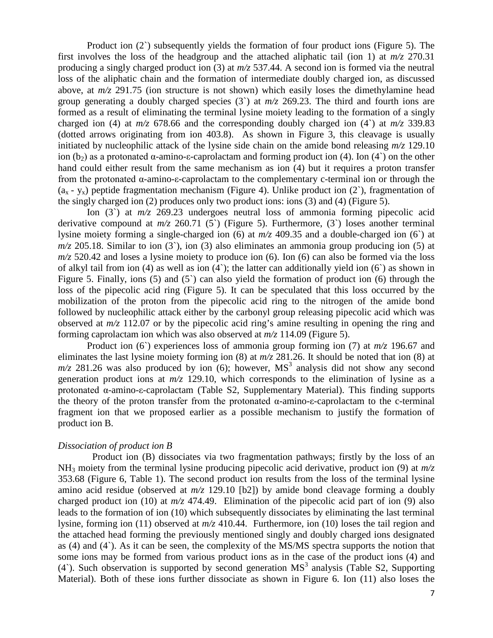Product ion (2`) subsequently yields the formation of four product ions (Figure 5). The first involves the loss of the headgroup and the attached aliphatic tail (ion 1) at *m/z* 270.31 producing a singly charged product ion (3) at *m/z* 537.44. A second ion is formed via the neutral loss of the aliphatic chain and the formation of intermediate doubly charged ion, as discussed above, at  $m/z$  291.75 (ion structure is not shown) which easily loses the dimethylamine head group generating a doubly charged species (3`) at *m/z* 269.23. The third and fourth ions are formed as a result of eliminating the terminal lysine moiety leading to the formation of a singly charged ion (4) at  $m/z$  678.66 and the corresponding doubly charged ion (4) at  $m/z$  339.83 (dotted arrows originating from ion 403.8). As shown in Figure 3, this cleavage is usually initiated by nucleophilic attack of the lysine side chain on the amide bond releasing *m/z* 129.10 ion (b<sub>2</sub>) as a protonated α-amino-ε-caprolactam and forming product ion (4). Ion (4) on the other hand could either result from the same mechanism as ion (4) but it requires a proton transfer from the protonated α-amino-ε-caprolactam to the complementary c-terminal ion or through the  $(a_x - y_x)$  peptide fragmentation mechanism (Figure 4). Unlike product ion (2), fragmentation of the singly charged ion (2) produces only two product ions: ions (3) and (4) (Figure 5).

Ion (3<sup>o</sup>) at  $m/z$  269.23 undergoes neutral loss of ammonia forming pipecolic acid derivative compound at  $m/z$  260.71 (5) (Figure 5). Furthermore, (3) loses another terminal lysine moiety forming a single-charged ion (6) at *m/z* 409.35 and a double-charged ion (6`) at  $m/z$  205.18. Similar to ion (3), ion (3) also eliminates an ammonia group producing ion (5) at *m/z* 520.42 and loses a lysine moiety to produce ion (6). Ion (6) can also be formed via the loss of alkyl tail from ion (4) as well as ion (4`); the latter can additionally yield ion (6`) as shown in Figure 5. Finally, ions (5) and (5) can also yield the formation of product ion (6) through the loss of the pipecolic acid ring (Figure 5). It can be speculated that this loss occurred by the mobilization of the proton from the pipecolic acid ring to the nitrogen of the amide bond followed by nucleophilic attack either by the carbonyl group releasing pipecolic acid which was observed at *m/z* 112.07 or by the pipecolic acid ring's amine resulting in opening the ring and forming caprolactam ion which was also observed at *m/z* 114.09 (Figure 5).

Product ion (6`) experiences loss of ammonia group forming ion (7) at *m/z* 196.67 and eliminates the last lysine moiety forming ion (8) at *m/z* 281.26. It should be noted that ion (8) at  $m/z$  281.26 was also produced by ion (6); however,  $MS<sup>3</sup>$  analysis did not show any second generation product ions at *m/z* 129.10, which corresponds to the elimination of lysine as a protonated α-amino-ε-caprolactam (Table S2, Supplementary Material). This finding supports the theory of the proton transfer from the protonated α-amino-ε-caprolactam to the c-terminal fragment ion that we proposed earlier as a possible mechanism to justify the formation of product ion B.

#### *Dissociation of product ion B*

Product ion (B) dissociates via two fragmentation pathways; firstly by the loss of an NH3 moiety from the terminal lysine producing pipecolic acid derivative, product ion (9) at *m/z* 353.68 (Figure 6, Table 1). The second product ion results from the loss of the terminal lysine amino acid residue (observed at *m/z* 129.10 [b2]) by amide bond cleavage forming a doubly charged product ion (10) at *m/z* 474.49. Elimination of the pipecolic acid part of ion (9) also leads to the formation of ion (10) which subsequently dissociates by eliminating the last terminal lysine, forming ion (11) observed at *m/z* 410.44. Furthermore, ion (10) loses the tail region and the attached head forming the previously mentioned singly and doubly charged ions designated as (4) and (4`). As it can be seen, the complexity of the MS/MS spectra supports the notion that some ions may be formed from various product ions as in the case of the product ions (4) and (4). Such observation is supported by second generation  $MS<sup>3</sup>$  analysis (Table S2, Supporting Material). Both of these ions further dissociate as shown in Figure 6. Ion (11) also loses the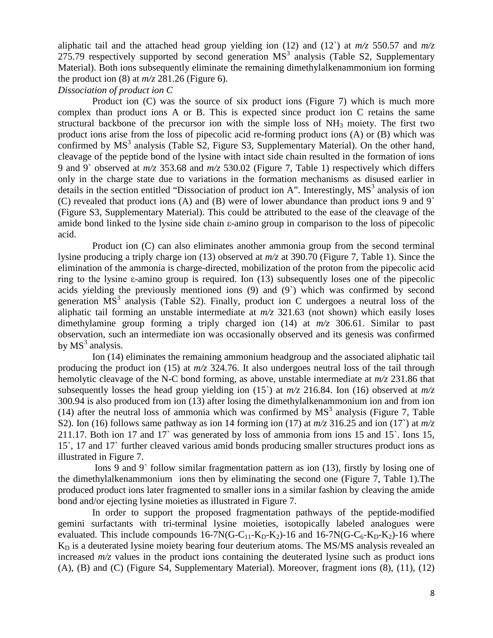aliphatic tail and the attached head group yielding ion (12) and (12) at  $m/z$  550.57 and  $m/z$ 275.79 respectively supported by second generation  $MS<sup>3</sup>$  analysis (Table S2, Supplementary Material). Both ions subsequently eliminate the remaining dimethylalkenammonium ion forming the product ion (8) at *m/z* 281.26 (Figure 6).

#### *Dissociation of product ion C*

Product ion (C) was the source of six product ions (Figure 7) which is much more complex than product ions A or B. This is expected since product ion C retains the same structural backbone of the precursor ion with the simple loss of  $NH<sub>3</sub>$  moiety. The first two product ions arise from the loss of pipecolic acid re-forming product ions (A) or (B) which was confirmed by  $MS<sup>3</sup>$  analysis (Table S2, Figure S3, Supplementary Material). On the other hand, cleavage of the peptide bond of the lysine with intact side chain resulted in the formation of ions 9 and 9` observed at *m/z* 353.68 and *m/z* 530.02 (Figure 7, Table 1) respectively which differs only in the charge state due to variations in the formation mechanisms as disused earlier in details in the section entitled "Dissociation of product ion A". Interestingly,  $MS<sup>3</sup>$  analysis of ion (C) revealed that product ions (A) and (B) were of lower abundance than product ions 9 and 9` (Figure S3, Supplementary Material). This could be attributed to the ease of the cleavage of the amide bond linked to the lysine side chain ε-amino group in comparison to the loss of pipecolic acid.

Product ion (C) can also eliminates another ammonia group from the second terminal lysine producing a triply charge ion (13) observed at *m/z* at 390.70 (Figure 7, Table 1). Since the elimination of the ammonia is charge-directed, mobilization of the proton from the pipecolic acid ring to the lysine ε-amino group is required. Ion (13) subsequently loses one of the pipecolic acids yielding the previously mentioned ions (9) and (9`) which was confirmed by second generation  $MS<sup>3</sup>$  analysis (Table S2). Finally, product ion C undergoes a neutral loss of the aliphatic tail forming an unstable intermediate at *m/z* 321.63 (not shown) which easily loses dimethylamine group forming a triply charged ion (14) at *m/z* 306.61. Similar to past observation, such an intermediate ion was occasionally observed and its genesis was confirmed by  $MS<sup>3</sup>$  analysis.

Ion (14) eliminates the remaining ammonium headgroup and the associated aliphatic tail producing the product ion (15) at *m/z* 324.76. It also undergoes neutral loss of the tail through hemolytic cleavage of the N-C bond forming, as above, unstable intermediate at *m/z* 231.86 that subsequently losses the head group yielding ion (15) at  $m/z$  216.84. Ion (16) observed at  $m/z$ 300.94 is also produced from ion (13) after losing the dimethylalkenammonium ion and from ion (14) after the neutral loss of ammonia which was confirmed by  $MS<sup>3</sup>$  analysis (Figure 7, Table S2). Ion (16) follows same pathway as ion 14 forming ion (17) at *m/z* 316.25 and ion (17`) at *m/z* 211.17. Both ion 17 and 17` was generated by loss of ammonia from ions 15 and 15`. Ions 15, 15`, 17 and 17` further cleaved various amid bonds producing smaller structures product ions as illustrated in Figure 7.

Ions 9 and 9` follow similar fragmentation pattern as ion (13), firstly by losing one of the dimethylalkenammonium ions then by eliminating the second one (Figure 7, Table 1).The produced product ions later fragmented to smaller ions in a similar fashion by cleaving the amide bond and/or ejecting lysine moieties as illustrated in Figure 7.

In order to support the proposed fragmentation pathways of the peptide-modified gemini surfactants with tri-terminal lysine moieties, isotopically labeled analogues were evaluated. This include compounds  $16-7N(G-C_{11}-K_{D}-K_{2})-16$  and  $16-7N(G-C_{6}-K_{D}-K_{2})-16$  where  $K_D$  is a deuterated lysine moiety bearing four deuterium atoms. The MS/MS analysis revealed an increased *m/z* values in the product ions containing the deuterated lysine such as product ions (A), (B) and (C) (Figure S4, Supplementary Material). Moreover, fragment ions (8), (11), (12)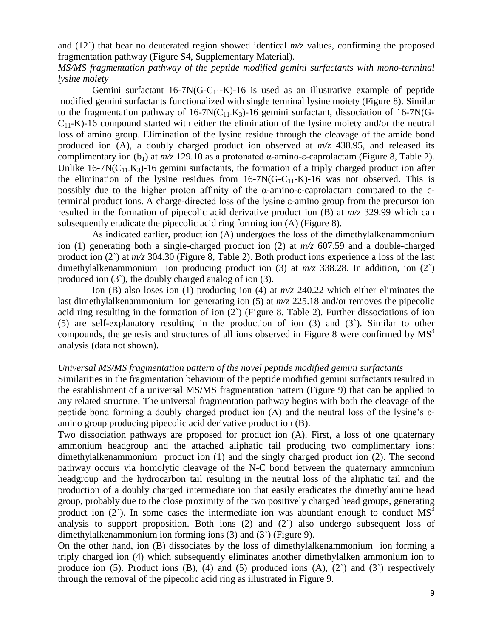and (12) that bear no deuterated region showed identical  $m/z$  values, confirming the proposed fragmentation pathway (Figure S4, Supplementary Material).

## *MS/MS fragmentation pathway of the peptide modified gemini surfactants with mono-terminal lysine moiety*

Gemini surfactant  $16-7N(G-C_{11}-K)-16$  is used as an illustrative example of peptide modified gemini surfactants functionalized with single terminal lysine moiety (Figure 8). Similar to the fragmentation pathway of  $16-7N(C_{11}K_3)-16$  gemini surfactant, dissociation of  $16-7N(G C_{11}$ -K)-16 compound started with either the elimination of the lysine moiety and/or the neutral loss of amino group. Elimination of the lysine residue through the cleavage of the amide bond produced ion (A), a doubly charged product ion observed at *m/z* 438.95, and released its complimentary ion  $(b_1)$  at  $m/z$  129.10 as a protonated  $\alpha$ -amino-ε-caprolactam (Figure 8, Table 2). Unlike  $16\text{-}7N(C_{11}K_3)$ -16 gemini surfactants, the formation of a triply charged product ion after the elimination of the lysine residues from  $16-7N(G-C_{11}-K)-16$  was not observed. This is possibly due to the higher proton affinity of the α-amino-ε-caprolactam compared to the cterminal product ions. A charge-directed loss of the lysine ε-amino group from the precursor ion resulted in the formation of pipecolic acid derivative product ion (B) at *m/z* 329.99 which can subsequently eradicate the pipecolic acid ring forming ion (A) (Figure 8).

As indicated earlier, product ion (A) undergoes the loss of the dimethylalkenammonium ion (1) generating both a single-charged product ion (2) at *m/z* 607.59 and a double-charged product ion (2`) at *m/z* 304.30 (Figure 8, Table 2). Both product ions experience a loss of the last dimethylalkenammonium ion producing product ion (3) at *m/z* 338.28. In addition, ion (2`) produced ion (3`), the doubly charged analog of ion (3).

Ion (B) also loses ion (1) producing ion (4) at *m/z* 240.22 which either eliminates the last dimethylalkenammonium ion generating ion (5) at *m/z* 225.18 and/or removes the pipecolic acid ring resulting in the formation of ion  $(2)$  (Figure 8, Table 2). Further dissociations of ion (5) are self-explanatory resulting in the production of ion (3) and (3`). Similar to other compounds, the genesis and structures of all ions observed in Figure 8 were confirmed by  $MS<sup>3</sup>$ analysis (data not shown).

### *Universal MS/MS fragmentation pattern of the novel peptide modified gemini surfactants*

Similarities in the fragmentation behaviour of the peptide modified gemini surfactants resulted in the establishment of a universal MS/MS fragmentation pattern (Figure 9) that can be applied to any related structure. The universal fragmentation pathway begins with both the cleavage of the peptide bond forming a doubly charged product ion (A) and the neutral loss of the lysine's εamino group producing pipecolic acid derivative product ion (B).

Two dissociation pathways are proposed for product ion (A). First, a loss of one quaternary ammonium headgroup and the attached aliphatic tail producing two complimentary ions: dimethylalkenammonium product ion (1) and the singly charged product ion (2). The second pathway occurs via homolytic cleavage of the N-C bond between the quaternary ammonium headgroup and the hydrocarbon tail resulting in the neutral loss of the aliphatic tail and the production of a doubly charged intermediate ion that easily eradicates the dimethylamine head group, probably due to the close proximity of the two positively charged head groups, generating product ion  $(2^{\circ})$ . In some cases the intermediate ion was abundant enough to conduct  $MS<sup>3</sup>$ analysis to support proposition. Both ions  $(2)$  and  $(2)$  also undergo subsequent loss of dimethylalkenammonium ion forming ions (3) and (3`) (Figure 9).

On the other hand, ion (B) dissociates by the loss of dimethylalkenammonium ion forming a triply charged ion (4) which subsequently eliminates another dimethylalken ammonium ion to produce ion (5). Product ions (B), (4) and (5) produced ions (A), (2) and (3) respectively through the removal of the pipecolic acid ring as illustrated in Figure 9.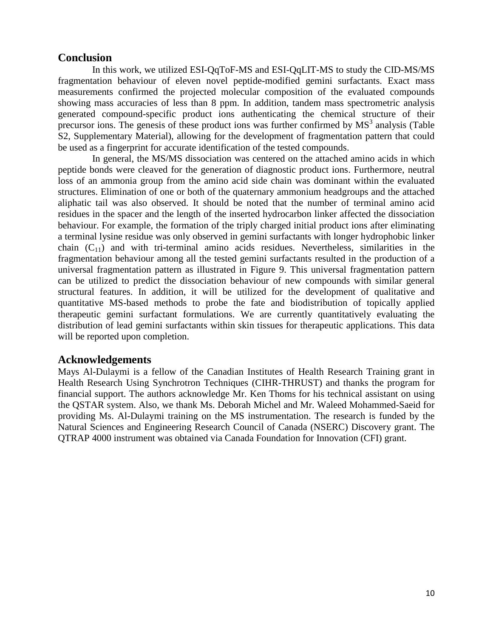## **Conclusion**

In this work, we utilized ESI-QqToF-MS and ESI-QqLIT-MS to study the CID-MS/MS fragmentation behaviour of eleven novel peptide-modified gemini surfactants. Exact mass measurements confirmed the projected molecular composition of the evaluated compounds showing mass accuracies of less than 8 ppm. In addition, tandem mass spectrometric analysis generated compound-specific product ions authenticating the chemical structure of their precursor ions. The genesis of these product ions was further confirmed by  $MS<sup>3</sup>$  analysis (Table S2, Supplementary Material), allowing for the development of fragmentation pattern that could be used as a fingerprint for accurate identification of the tested compounds.

In general, the MS/MS dissociation was centered on the attached amino acids in which peptide bonds were cleaved for the generation of diagnostic product ions. Furthermore, neutral loss of an ammonia group from the amino acid side chain was dominant within the evaluated structures. Elimination of one or both of the quaternary ammonium headgroups and the attached aliphatic tail was also observed. It should be noted that the number of terminal amino acid residues in the spacer and the length of the inserted hydrocarbon linker affected the dissociation behaviour. For example, the formation of the triply charged initial product ions after eliminating a terminal lysine residue was only observed in gemini surfactants with longer hydrophobic linker chain  $(C_{11})$  and with tri-terminal amino acids residues. Nevertheless, similarities in the fragmentation behaviour among all the tested gemini surfactants resulted in the production of a universal fragmentation pattern as illustrated in Figure 9. This universal fragmentation pattern can be utilized to predict the dissociation behaviour of new compounds with similar general structural features. In addition, it will be utilized for the development of qualitative and quantitative MS-based methods to probe the fate and biodistribution of topically applied therapeutic gemini surfactant formulations. We are currently quantitatively evaluating the distribution of lead gemini surfactants within skin tissues for therapeutic applications. This data will be reported upon completion.

## **Acknowledgements**

Mays Al-Dulaymi is a fellow of the Canadian Institutes of Health Research Training grant in Health Research Using Synchrotron Techniques (CIHR-THRUST) and thanks the program for financial support. The authors acknowledge Mr. Ken Thoms for his technical assistant on using the QSTAR system. Also, we thank Ms. Deborah Michel and Mr. Waleed Mohammed-Saeid for providing Ms. Al-Dulaymi training on the MS instrumentation. The research is funded by the Natural Sciences and Engineering Research Council of Canada (NSERC) Discovery grant. The QTRAP 4000 instrument was obtained via Canada Foundation for Innovation (CFI) grant.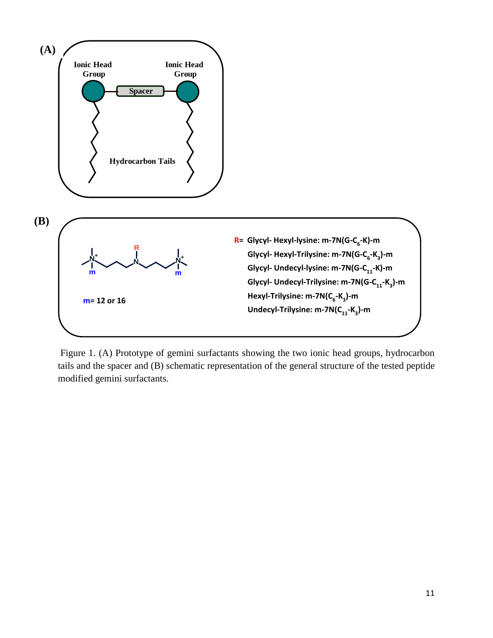

Figure 1. (A) Prototype of gemini surfactants showing the two ionic head groups, hydrocarbon tails and the spacer and (B) schematic representation of the general structure of the tested peptide modified gemini surfactants.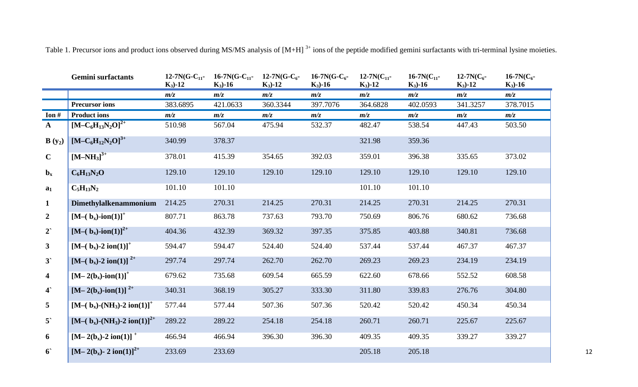|                           | <b>Gemini surfactants</b>                   | 12-7 $N(G-C_{11})$<br>$K_3$ -12 | 16-7N(G-C <sub>11</sub> - 12-7N(G-C <sub>6</sub> -<br>$K_3$ -16 | $K_3$ -12 | 16-7N $(G-C_6$ -<br>$K_3$ -16 | 12-7 $N(C_{11}$<br>$K_3$ -12 | 16-7N $(C_{11}$ -<br>$K_3$ -16 | 12-7N $(C_6$ -<br>$K_3$ -12 | 16-7N( $C_6$ -<br>$K_3$ -16 |
|---------------------------|---------------------------------------------|---------------------------------|-----------------------------------------------------------------|-----------|-------------------------------|------------------------------|--------------------------------|-----------------------------|-----------------------------|
|                           |                                             | m/z                             | m/z                                                             | m/z       | m/z                           | m/z                          | m/z                            | m/z                         | m/z                         |
|                           | <b>Precursor ions</b>                       | 383.6895                        | 421.0633                                                        | 360.3344  | 397.7076                      | 364.6828                     | 402.0593                       | 341.3257                    | 378.7015                    |
| Ion $#$                   | <b>Product ions</b>                         | m/z                             | m/z                                                             | m/z       | m/z                           | m/z                          | m/z                            | m/z                         | m/z                         |
| $\mathbf{A}$              | $[M-C_6H_{13}N_2O]^{2+}$                    | 510.98                          | 567.04                                                          | 475.94    | 532.37                        | 482.47                       | 538.54                         | 447.43                      | 503.50                      |
| $B(y_2)$                  | $[M-C_6H_{12}N_2O]^{3+}$                    | 340.99                          | 378.37                                                          |           |                               | 321.98                       | 359.36                         |                             |                             |
| $\mathbf C$               | $[M-NH_3]^{3+}$                             | 378.01                          | 415.39                                                          | 354.65    | 392.03                        | 359.01                       | 396.38                         | 335.65                      | 373.02                      |
| $\mathbf{b}_{\mathbf{x}}$ | $C_6H_{13}N_2O$                             | 129.10                          | 129.10                                                          | 129.10    | 129.10                        | 129.10                       | 129.10                         | 129.10                      | 129.10                      |
| $a_1$                     | $C_5H_{13}N_2$                              | 101.10                          | 101.10                                                          |           |                               | 101.10                       | 101.10                         |                             |                             |
| $\mathbf{1}$              | <b>Dimethylalkenammonium</b>                | 214.25                          | 270.31                                                          | 214.25    | 270.31                        | 214.25                       | 270.31                         | 214.25                      | 270.31                      |
| $\boldsymbol{2}$          | $[M-(b_x)-ion(1)]^+$                        | 807.71                          | 863.78                                                          | 737.63    | 793.70                        | 750.69                       | 806.76                         | 680.62                      | 736.68                      |
| $2^{\circ}$               | [M-( $b_x$ )-ion(1)] <sup>2+</sup>          | 404.36                          | 432.39                                                          | 369.32    | 397.35                        | 375.85                       | 403.88                         | 340.81                      | 736.68                      |
| $\mathbf{3}$              | $[M-(b_x)-2 \text{ ion}(1)]^+$              | 594.47                          | 594.47                                                          | 524.40    | 524.40                        | 537.44                       | 537.44                         | 467.37                      | 467.37                      |
| $3^{\circ}$               | [M-( $b_x$ )-2 ion(1)] <sup>2+</sup>        | 297.74                          | 297.74                                                          | 262.70    | 262.70                        | 269.23                       | 269.23                         | 234.19                      | 234.19                      |
| $\boldsymbol{4}$          | $[M-2(b_x)\text{-ion}(1)]^+$                | 679.62                          | 735.68                                                          | 609.54    | 665.59                        | 622.60                       | 678.66                         | 552.52                      | 608.58                      |
| $4^{\circ}$               | [M-2(b <sub>x</sub> )-ion(1)] <sup>2+</sup> | 340.31                          | 368.19                                                          | 305.27    | 333.30                        | 311.80                       | 339.83                         | 276.76                      | 304.80                      |
| 5                         | $[M-(b_x)-(NH_3)-2~ion(1)]^+$               | 577.44                          | 577.44                                                          | 507.36    | 507.36                        | 520.42                       | 520.42                         | 450.34                      | 450.34                      |
| $5^{\circ}$               | $[M-(b_x)-(NH_3)-2 \text{ ion}(1)]^{2+}$    | 289.22                          | 289.22                                                          | 254.18    | 254.18                        | 260.71                       | 260.71                         | 225.67                      | 225.67                      |
| 6                         | $[M-2(b_x)-2 ion(1)]^+$                     | 466.94                          | 466.94                                                          | 396.30    | 396.30                        | 409.35                       | 409.35                         | 339.27                      | 339.27                      |
| 6 <sup>°</sup>            | $[M-2(b_x)-2 ion(1)]^{2+}$                  | 233.69                          | 233.69                                                          |           |                               | 205.18                       | 205.18                         |                             |                             |

Table 1. Precursor ions and product ions observed during MS/MS analysis of  $[M+H]$ <sup>3+</sup> ions of the peptide modified gemini surfactants with tri-terminal lysine moieties.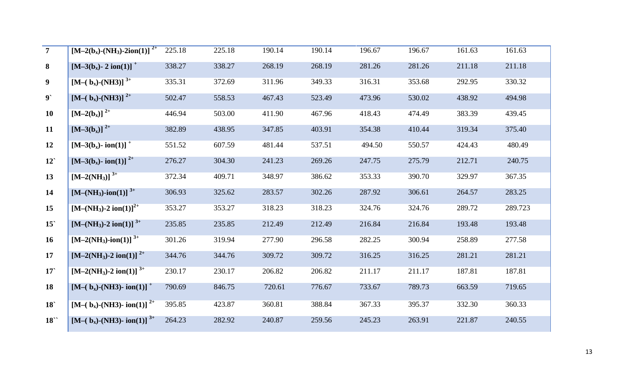| $\overline{7}$      | $[M-2(b_x)-(NH_3)-2ion(1)]^{2+}$               | 225.18 | 225.18 | 190.14 | 190.14 | 196.67 | 196.67 | 161.63 | 161.63  |
|---------------------|------------------------------------------------|--------|--------|--------|--------|--------|--------|--------|---------|
| 8                   | [M-3(b <sub>x</sub> ) - 2 ion(1)] <sup>+</sup> | 338.27 | 338.27 | 268.19 | 268.19 | 281.26 | 281.26 | 211.18 | 211.18  |
| 9                   | $[M-(b_x)-(NH3)]^{3+}$                         | 335.31 | 372.69 | 311.96 | 349.33 | 316.31 | 353.68 | 292.95 | 330.32  |
| 9 <sup>°</sup>      | [M–( $b_x$ )-(NH3)] <sup>2+</sup>              | 502.47 | 558.53 | 467.43 | 523.49 | 473.96 | 530.02 | 438.92 | 494.98  |
| <b>10</b>           | $[M-2(b_x)]^{2+}$                              | 446.94 | 503.00 | 411.90 | 467.96 | 418.43 | 474.49 | 383.39 | 439.45  |
| 11                  | $[M-3(b_x)]^{2+}$                              | 382.89 | 438.95 | 347.85 | 403.91 | 354.38 | 410.44 | 319.34 | 375.40  |
| 12                  | $[M-3(b_x)-ion(1)]^+$                          | 551.52 | 607.59 | 481.44 | 537.51 | 494.50 | 550.57 | 424.43 | 480.49  |
| $12^{\circ}$        | [M-3(b <sub>x</sub> )- ion(1)] <sup>2+</sup>   | 276.27 | 304.30 | 241.23 | 269.26 | 247.75 | 275.79 | 212.71 | 240.75  |
| 13                  | $[M-2(NH_3)]^{3+}$                             | 372.34 | 409.71 | 348.97 | 386.62 | 353.33 | 390.70 | 329.97 | 367.35  |
| 14                  | $[M-(NH3)-ion(1)]^{3+}$                        | 306.93 | 325.62 | 283.57 | 302.26 | 287.92 | 306.61 | 264.57 | 283.25  |
| 15                  | $[M-(NH3)-2 ion(1)]2+$                         | 353.27 | 353.27 | 318.23 | 318.23 | 324.76 | 324.76 | 289.72 | 289.723 |
| $15^\circ$          | $[M-(NH3)-2 ion(1)]^{3+}$                      | 235.85 | 235.85 | 212.49 | 212.49 | 216.84 | 216.84 | 193.48 | 193.48  |
| <b>16</b>           | $[M-2(NH_3)-ion(1)]^{3+}$                      | 301.26 | 319.94 | 277.90 | 296.58 | 282.25 | 300.94 | 258.89 | 277.58  |
| 17                  | $[M-2(NH_3)-2 ion(1)]^{2+}$                    | 344.76 | 344.76 | 309.72 | 309.72 | 316.25 | 316.25 | 281.21 | 281.21  |
| 17                  | $[M-2(NH_3)-2 ion(1)]^{3+}$                    | 230.17 | 230.17 | 206.82 | 206.82 | 211.17 | 211.17 | 187.81 | 187.81  |
| 18                  | [M–( $b_x$ )-(NH3)- ion(1)] <sup>+</sup>       | 790.69 | 846.75 | 720.61 | 776.67 | 733.67 | 789.73 | 663.59 | 719.65  |
| 18 <sup>°</sup>     | [M–( $b_x$ )-(NH3)- ion(1)] <sup>2+</sup>      | 395.85 | 423.87 | 360.81 | 388.84 | 367.33 | 395.37 | 332.30 | 360.33  |
| $18^{\prime\prime}$ | [M–( $b_x$ )-(NH3)- ion(1)] <sup>3+</sup>      | 264.23 | 282.92 | 240.87 | 259.56 | 245.23 | 263.91 | 221.87 | 240.55  |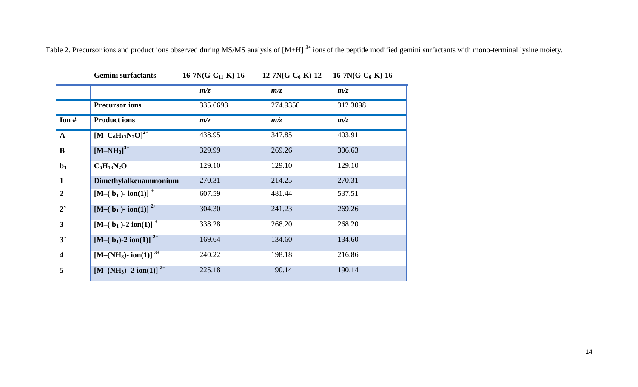Table 2. Precursor ions and product ions observed during MS/MS analysis of  $[M+H]$ <sup>3+</sup> ions of the peptide modified gemini surfactants with mono-terminal lysine moiety.

|                         | <b>Gemini surfactants</b>                    | $16-7N(G-C_{11}-K)-16$ | $12 - 7N(G-C_6-K) - 12$ | $16-7N(G-C_6-K)-16$ |  |
|-------------------------|----------------------------------------------|------------------------|-------------------------|---------------------|--|
|                         |                                              | m/z                    | m/z                     | m/z                 |  |
|                         | <b>Precursor ions</b>                        | 335.6693               | 274.9356                | 312.3098            |  |
| Ion $#$                 | <b>Product ions</b>                          | m/z                    | m/z                     | m/z                 |  |
| $\mathbf{A}$            | $[M-C_6H_{13}N_2O]^{2+}$                     | 438.95                 | 347.85                  | 403.91              |  |
| $\bf{B}$                | $[M-NH_3]^{3+}$                              | 329.99                 | 269.26                  | 306.63              |  |
| $b1$                    | $C_6H_{13}N_2O$                              | 129.10                 | 129.10                  | 129.10              |  |
| 1                       | Dimethylalkenammonium                        | 270.31                 | 214.25                  | 270.31              |  |
| $\boldsymbol{2}$        | [M-( $b_1$ )- $\text{ion}(1)$ ] <sup>+</sup> | 607.59                 | 481.44                  | 537.51              |  |
| $2^{\circ}$             | [M-(b <sub>1</sub> )-ion(1)] <sup>2+</sup>   | 304.30                 | 241.23                  | 269.26              |  |
| $\mathbf{3}$            | [M-( $b_1$ )-2 ion(1)] <sup>+</sup>          | 338.28                 | 268.20                  | 268.20              |  |
| $3^{\circ}$             | [M-(b <sub>1</sub> )-2 ion(1)] <sup>2+</sup> | 169.64                 | 134.60                  | 134.60              |  |
| $\overline{\mathbf{4}}$ | [M-(NH <sub>3</sub> )- ion(1)] <sup>3+</sup> | 240.22                 | 198.18                  | 216.86              |  |
| 5                       | $[M-(NH3)- 2 ion(1)]^{2+}$                   | 225.18                 | 190.14                  | 190.14              |  |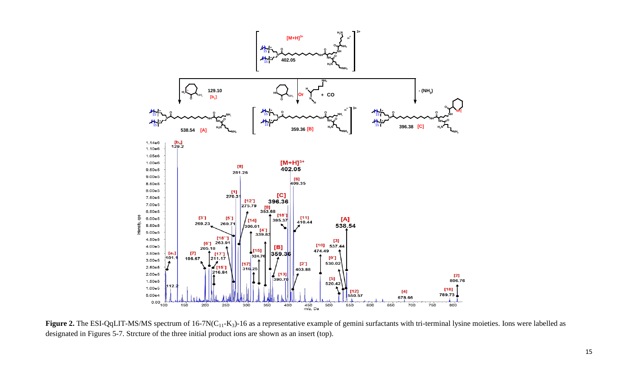

Figure 2. The ESI-QqLIT-MS/MS spectrum of 16-7N(C<sub>11</sub>-K<sub>3</sub>)-16 as a representative example of gemini surfactants with tri-terminal lysine moieties. Ions were labelled as designated in Figures 5-7. Strcture of the three initial product ions are shown as an insert (top).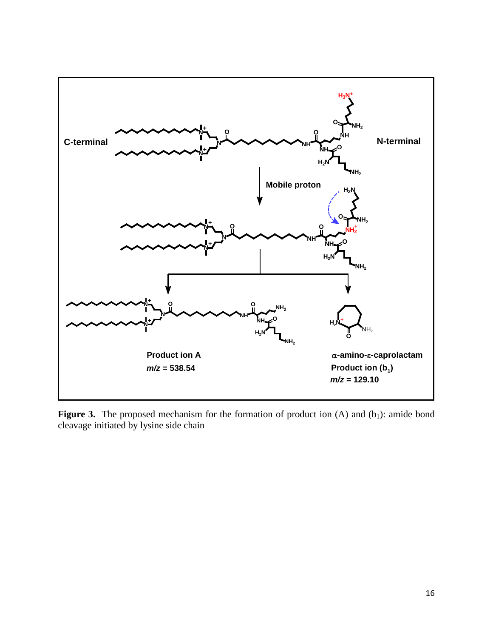

**Figure 3.** The proposed mechanism for the formation of product ion  $(A)$  and  $(b_1)$ : amide bond cleavage initiated by lysine side chain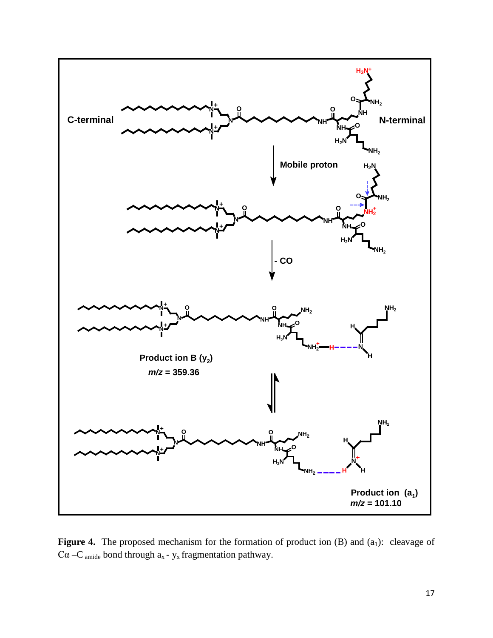

**Figure 4.** The proposed mechanism for the formation of product ion  $(B)$  and  $(a_1)$ : cleavage of Cα –C  $_{\rm amide}$  bond through  $a_x$  -  $y_x$  fragmentation pathway.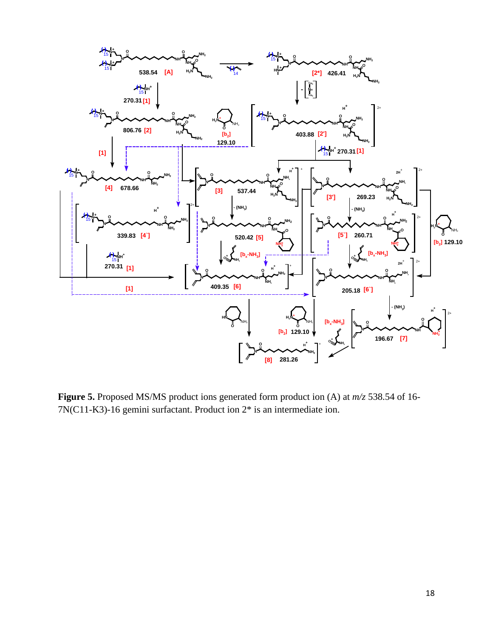

**Figure 5.** Proposed MS/MS product ions generated form product ion (A) at *m/z* 538.54 of 16- 7N(C11-K3)-16 gemini surfactant. Product ion 2\* is an intermediate ion.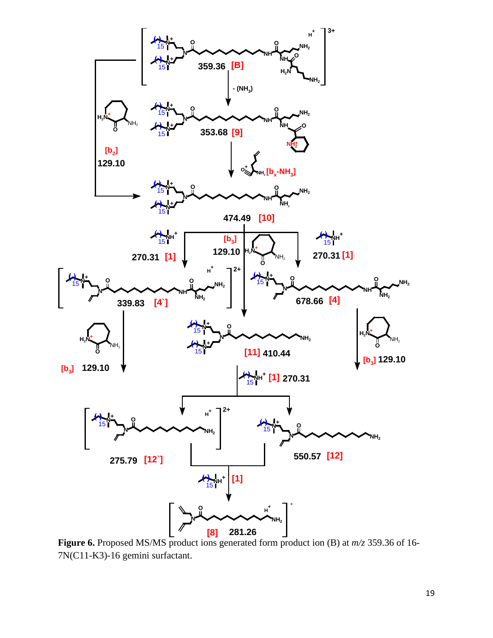

**Figure 6.** Proposed MS/MS product ions generated form product ion (B) at *m/z* 359.36 of 16- 7N(C11-K3)-16 gemini surfactant.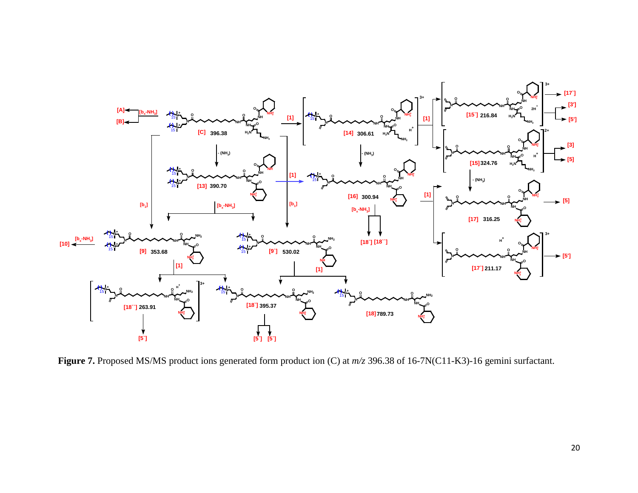

**Figure 7.** Proposed MS/MS product ions generated form product ion (C) at *m/z* 396.38 of 16-7N(C11-K3)-16 gemini surfactant.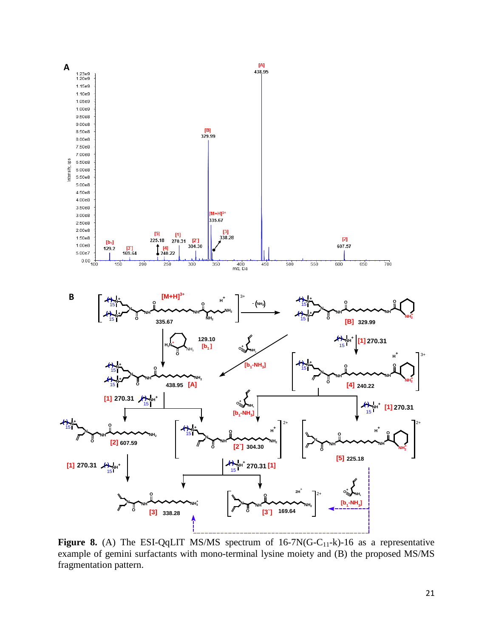

**Figure 8.** (A) The ESI-QqLIT MS/MS spectrum of  $16-7N(G-C_{11}-k)-16$  as a representative example of gemini surfactants with mono-terminal lysine moiety and (B) the proposed MS/MS fragmentation pattern.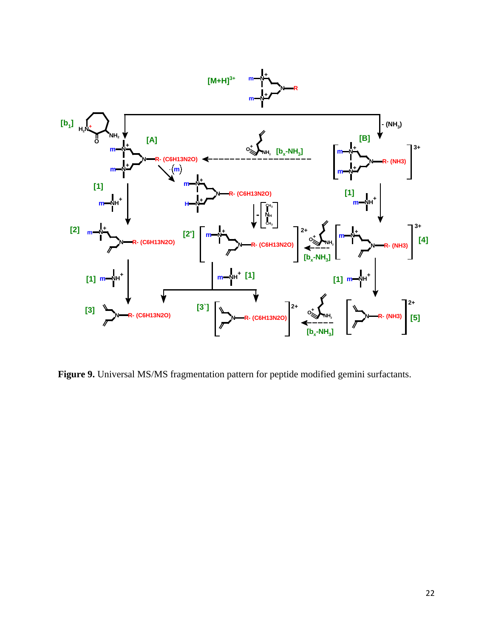

**Figure 9.** Universal MS/MS fragmentation pattern for peptide modified gemini surfactants.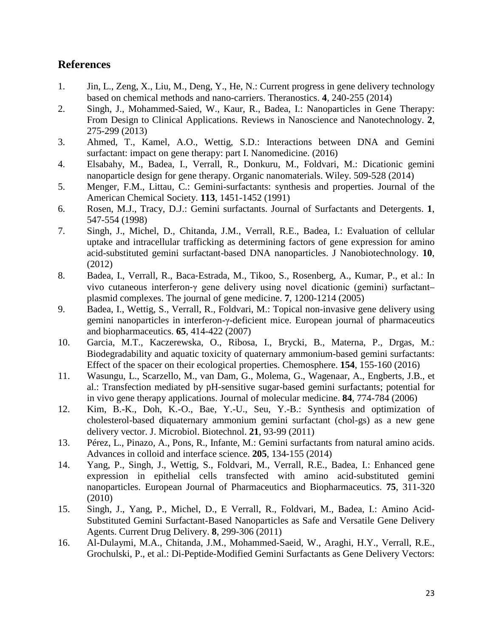## **References**

- <span id="page-22-0"></span>1. Jin, L., Zeng, X., Liu, M., Deng, Y., He, N.: Current progress in gene delivery technology based on chemical methods and nano-carriers. Theranostics. **4**, 240-255 (2014)
- <span id="page-22-1"></span>2. Singh, J., Mohammed-Saied, W., Kaur, R., Badea, I.: Nanoparticles in Gene Therapy: From Design to Clinical Applications. Reviews in Nanoscience and Nanotechnology. **2**, 275-299 (2013)
- <span id="page-22-2"></span>3. Ahmed, T., Kamel, A.O., Wettig, S.D.: Interactions between DNA and Gemini surfactant: impact on gene therapy: part I. Nanomedicine. (2016)
- <span id="page-22-3"></span>4. Elsabahy, M., Badea, I., Verrall, R., Donkuru, M., Foldvari, M.: Dicationic gemini nanoparticle design for gene therapy. Organic nanomaterials. Wiley. 509-528 (2014)
- <span id="page-22-4"></span>5. Menger, F.M., Littau, C.: Gemini-surfactants: synthesis and properties. Journal of the American Chemical Society. **113**, 1451-1452 (1991)
- <span id="page-22-5"></span>6. Rosen, M.J., Tracy, D.J.: Gemini surfactants. Journal of Surfactants and Detergents. **1**, 547-554 (1998)
- <span id="page-22-6"></span>7. Singh, J., Michel, D., Chitanda, J.M., Verrall, R.E., Badea, I.: Evaluation of cellular uptake and intracellular trafficking as determining factors of gene expression for amino acid-substituted gemini surfactant-based DNA nanoparticles. J Nanobiotechnology. **10**, (2012)
- <span id="page-22-7"></span>8. Badea, I., Verrall, R., Baca-Estrada, M., Tikoo, S., Rosenberg, A., Kumar, P., et al.: In vivo cutaneous interferon‐γ gene delivery using novel dicationic (gemini) surfactant– plasmid complexes. The journal of gene medicine. **7**, 1200-1214 (2005)
- <span id="page-22-8"></span>9. Badea, I., Wettig, S., Verrall, R., Foldvari, M.: Topical non-invasive gene delivery using gemini nanoparticles in interferon-γ-deficient mice. European journal of pharmaceutics and biopharmaceutics. **65**, 414-422 (2007)
- <span id="page-22-9"></span>10. Garcia, M.T., Kaczerewska, O., Ribosa, I., Brycki, B., Materna, P., Drgas, M.: Biodegradability and aquatic toxicity of quaternary ammonium-based gemini surfactants: Effect of the spacer on their ecological properties. Chemosphere. **154**, 155-160 (2016)
- <span id="page-22-10"></span>11. Wasungu, L., Scarzello, M., van Dam, G., Molema, G., Wagenaar, A., Engberts, J.B., et al.: Transfection mediated by pH-sensitive sugar-based gemini surfactants; potential for in vivo gene therapy applications. Journal of molecular medicine. **84**, 774-784 (2006)
- 12. Kim, B.-K., Doh, K.-O., Bae, Y.-U., Seu, Y.-B.: Synthesis and optimization of cholesterol-based diquaternary ammonium gemini surfactant (chol-gs) as a new gene delivery vector. J. Microbiol. Biotechnol. **21**, 93-99 (2011)
- 13. Pérez, L., Pinazo, A., Pons, R., Infante, M.: Gemini surfactants from natural amino acids. Advances in colloid and interface science. **205**, 134-155 (2014)
- <span id="page-22-11"></span>14. Yang, P., Singh, J., Wettig, S., Foldvari, M., Verrall, R.E., Badea, I.: Enhanced gene expression in epithelial cells transfected with amino acid-substituted gemini nanoparticles. European Journal of Pharmaceutics and Biopharmaceutics. **75**, 311-320 (2010)
- 15. Singh, J., Yang, P., Michel, D., E Verrall, R., Foldvari, M., Badea, I.: Amino Acid-Substituted Gemini Surfactant-Based Nanoparticles as Safe and Versatile Gene Delivery Agents. Current Drug Delivery. **8**, 299-306 (2011)
- <span id="page-22-12"></span>16. Al-Dulaymi, M.A., Chitanda, J.M., Mohammed-Saeid, W., Araghi, H.Y., Verrall, R.E., Grochulski, P., et al.: Di-Peptide-Modified Gemini Surfactants as Gene Delivery Vectors: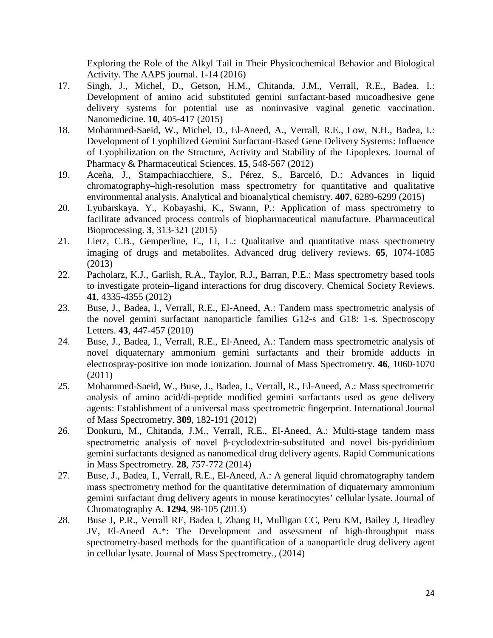Exploring the Role of the Alkyl Tail in Their Physicochemical Behavior and Biological Activity. The AAPS journal. 1-14 (2016)

- <span id="page-23-0"></span>17. Singh, J., Michel, D., Getson, H.M., Chitanda, J.M., Verrall, R.E., Badea, I.: Development of amino acid substituted gemini surfactant-based mucoadhesive gene delivery systems for potential use as noninvasive vaginal genetic vaccination. Nanomedicine. **10**, 405-417 (2015)
- <span id="page-23-1"></span>18. Mohammed-Saeid, W., Michel, D., El-Aneed, A., Verrall, R.E., Low, N.H., Badea, I.: Development of Lyophilized Gemini Surfactant-Based Gene Delivery Systems: Influence of Lyophilization on the Structure, Activity and Stability of the Lipoplexes. Journal of Pharmacy & Pharmaceutical Sciences. **15**, 548-567 (2012)
- <span id="page-23-2"></span>19. Aceña, J., Stampachiacchiere, S., Pérez, S., Barceló, D.: Advances in liquid chromatography–high-resolution mass spectrometry for quantitative and qualitative environmental analysis. Analytical and bioanalytical chemistry. **407**, 6289-6299 (2015)
- 20. Lyubarskaya, Y., Kobayashi, K., Swann, P.: Application of mass spectrometry to facilitate advanced process controls of biopharmaceutical manufacture. Pharmaceutical Bioprocessing. **3**, 313-321 (2015)
- 21. Lietz, C.B., Gemperline, E., Li, L.: Qualitative and quantitative mass spectrometry imaging of drugs and metabolites. Advanced drug delivery reviews. **65**, 1074-1085 (2013)
- 22. Pacholarz, K.J., Garlish, R.A., Taylor, R.J., Barran, P.E.: Mass spectrometry based tools to investigate protein–ligand interactions for drug discovery. Chemical Society Reviews. **41**, 4335-4355 (2012)
- <span id="page-23-3"></span>23. Buse, J., Badea, I., Verrall, R.E., El-Aneed, A.: Tandem mass spectrometric analysis of the novel gemini surfactant nanoparticle families G12-s and G18: 1-s. Spectroscopy Letters. **43**, 447-457 (2010)
- <span id="page-23-6"></span>24. Buse, J., Badea, I., Verrall, R.E., El‐Aneed, A.: Tandem mass spectrometric analysis of novel diquaternary ammonium gemini surfactants and their bromide adducts in electrospray‐positive ion mode ionization. Journal of Mass Spectrometry. **46**, 1060-1070 (2011)
- <span id="page-23-5"></span>25. Mohammed-Saeid, W., Buse, J., Badea, I., Verrall, R., El-Aneed, A.: Mass spectrometric analysis of amino acid/di-peptide modified gemini surfactants used as gene delivery agents: Establishment of a universal mass spectrometric fingerprint. International Journal of Mass Spectrometry. **309**, 182-191 (2012)
- 26. Donkuru, M., Chitanda, J.M., Verrall, R.E., El‐Aneed, A.: Multi‐stage tandem mass spectrometric analysis of novel β-cyclodextrin-substituted and novel bis-pyridinium gemini surfactants designed as nanomedical drug delivery agents. Rapid Communications in Mass Spectrometry. **28**, 757-772 (2014)
- <span id="page-23-4"></span>27. Buse, J., Badea, I., Verrall, R.E., El-Aneed, A.: A general liquid chromatography tandem mass spectrometry method for the quantitative determination of diquaternary ammonium gemini surfactant drug delivery agents in mouse keratinocytes' cellular lysate. Journal of Chromatography A. **1294**, 98-105 (2013)
- 28. Buse J, P.R., Verrall RE, Badea I, Zhang H, Mulligan CC, Peru KM, Bailey J, Headley JV, El-Aneed A.\*: The Development and assessment of high-throughput mass spectrometry-based methods for the quantification of a nanoparticle drug delivery agent in cellular lysate. Journal of Mass Spectrometry., (2014)